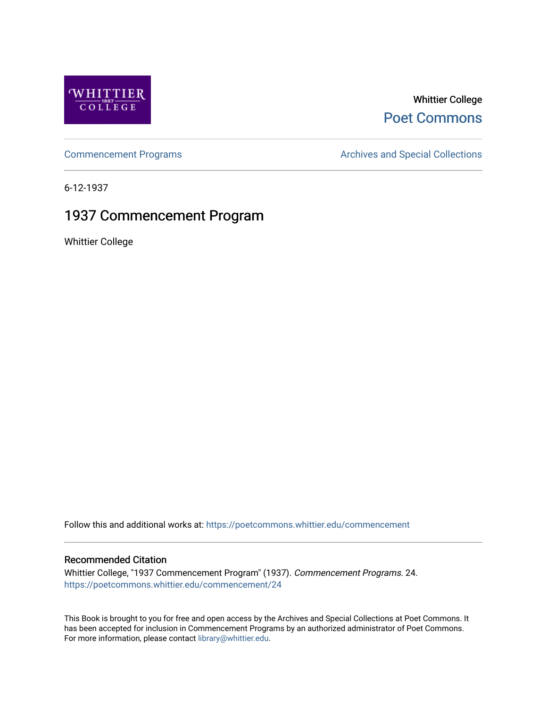

## Whittier College [Poet Commons](https://poetcommons.whittier.edu/)

[Commencement Programs](https://poetcommons.whittier.edu/commencement) **Archives and Special Collections** Archives and Special Collections

6-12-1937

# 1937 Commencement Program

Whittier College

Follow this and additional works at: [https://poetcommons.whittier.edu/commencement](https://poetcommons.whittier.edu/commencement?utm_source=poetcommons.whittier.edu%2Fcommencement%2F24&utm_medium=PDF&utm_campaign=PDFCoverPages) 

## Recommended Citation

Whittier College, "1937 Commencement Program" (1937). Commencement Programs. 24. [https://poetcommons.whittier.edu/commencement/24](https://poetcommons.whittier.edu/commencement/24?utm_source=poetcommons.whittier.edu%2Fcommencement%2F24&utm_medium=PDF&utm_campaign=PDFCoverPages)

This Book is brought to you for free and open access by the Archives and Special Collections at Poet Commons. It has been accepted for inclusion in Commencement Programs by an authorized administrator of Poet Commons. For more information, please contact [library@whittier.edu.](mailto:library@whittier.edu)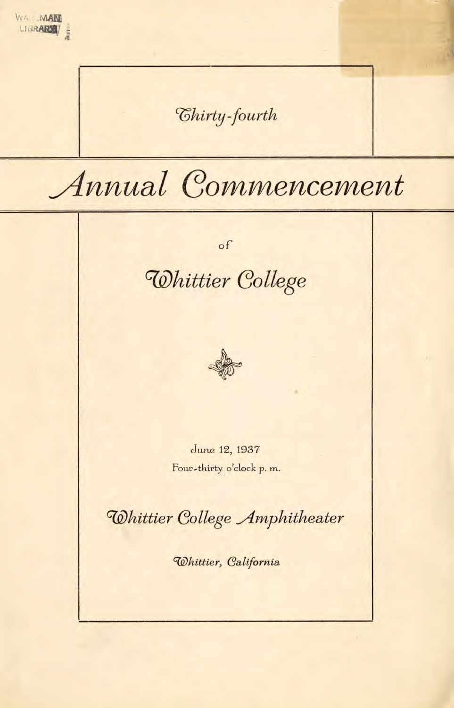WA MAN LIBRARY : *Chirty-fourth* Annual Commencement  $\circ f$ Whittier College June 12, 1937 Four-thirty o'clock p. m. Whittier College Amphitheater Whittier, California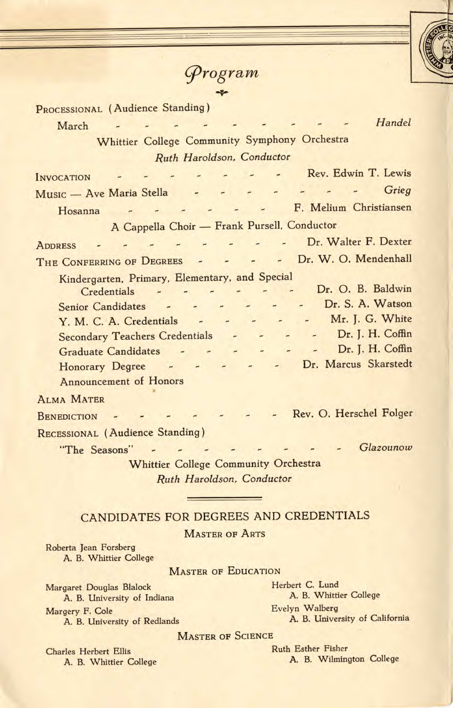



PROCESSIONAL (Audience Standing)

| Handel<br>March                                                                                                                                                                                                                                                                                                                                                                                                                                                                                                                                                                                                                                                                                                                    |
|------------------------------------------------------------------------------------------------------------------------------------------------------------------------------------------------------------------------------------------------------------------------------------------------------------------------------------------------------------------------------------------------------------------------------------------------------------------------------------------------------------------------------------------------------------------------------------------------------------------------------------------------------------------------------------------------------------------------------------|
| Whittier College Community Symphony Orchestra                                                                                                                                                                                                                                                                                                                                                                                                                                                                                                                                                                                                                                                                                      |
| Ruth Haroldson, Conductor                                                                                                                                                                                                                                                                                                                                                                                                                                                                                                                                                                                                                                                                                                          |
| Rev. Edwin T. Lewis<br>$\overline{a}$<br><b>INVOCATION</b>                                                                                                                                                                                                                                                                                                                                                                                                                                                                                                                                                                                                                                                                         |
| Grieg<br>Music — Ave Maria Stella<br>$\overline{a}$<br>$\overline{\phantom{a}}$<br>$\overline{a}$<br>$\overline{\phantom{a}}$                                                                                                                                                                                                                                                                                                                                                                                                                                                                                                                                                                                                      |
| F. Melium Christiansen<br>Hosanna                                                                                                                                                                                                                                                                                                                                                                                                                                                                                                                                                                                                                                                                                                  |
| A Cappella Choir - Frank Pursell, Conductor                                                                                                                                                                                                                                                                                                                                                                                                                                                                                                                                                                                                                                                                                        |
| - Dr. Walter F. Dexter<br>$\overline{\phantom{a}}$<br><b>ADDRESS</b>                                                                                                                                                                                                                                                                                                                                                                                                                                                                                                                                                                                                                                                               |
| - - - Dr. W. O. Mendenhall<br>THE CONFERRING OF DEGREES<br>$\overline{a}$                                                                                                                                                                                                                                                                                                                                                                                                                                                                                                                                                                                                                                                          |
| Kindergarten, Primary, Elementary, and Special<br>Dr. O. B. Baldwin<br>Credentials<br>$\overline{\phantom{a}}$<br>$\overline{a}$<br>۳<br>Dr. S. A. Watson<br><b>Senior Candidates</b><br>$\overline{a}$<br>٠<br>Mr. J. G. White<br>Y. M. C. A. Credentials<br>$\overline{a}$<br>$\frac{1}{2}$<br>$\tilde{\phantom{a}}$<br>Dr. J. H. Coffin<br><b>Secondary Teachers Credentials</b><br>۰<br>$\frac{1}{2}$<br>$\overline{a}$<br>$\overline{\phantom{a}}$<br>Dr. J. H. Coffin<br><b>Graduate Candidates</b><br>$\overline{\phantom{a}}$<br>$\overline{a}$<br>×<br>$\overline{\phantom{a}}$<br>$\tilde{}$<br>Dr. Marcus Skarstedt<br>Honorary Degree -<br>$\overline{a}$<br>$\overline{\phantom{a}}$<br><b>Announcement of Honors</b> |
| <b>ALMA MATER</b>                                                                                                                                                                                                                                                                                                                                                                                                                                                                                                                                                                                                                                                                                                                  |
| Rev. O. Herschel Folger<br><b>BENEDICTION</b>                                                                                                                                                                                                                                                                                                                                                                                                                                                                                                                                                                                                                                                                                      |
| RECESSIONAL (Audience Standing)                                                                                                                                                                                                                                                                                                                                                                                                                                                                                                                                                                                                                                                                                                    |
| Glazounow<br>"The Seasons"                                                                                                                                                                                                                                                                                                                                                                                                                                                                                                                                                                                                                                                                                                         |
| <b>Whittier College Community Orchestra</b>                                                                                                                                                                                                                                                                                                                                                                                                                                                                                                                                                                                                                                                                                        |
| Ruth Haroldson, Conductor                                                                                                                                                                                                                                                                                                                                                                                                                                                                                                                                                                                                                                                                                                          |

## CANDIDATES FOR DEGREES AND CREDENTIALS

**MASTER OF ARTS** 

Roberta Jean Forsberg A. B. Whittier College

MASTER OF EDUCATION

Margaret Douglas Blalock A. B. University of Indiana Margery F. Cole

A. B. University of Redlands

Herbert C. Lund A. B. Whittier College Evelyn Walberg A. B. University of California

**MASTER OF SCIENCE** 

A. B. Whittier College

Charles Herbert Ellis **Ruth Esther Fisher**<br> **A. B. Wilmington College**<br> **A. B. Wilmington College**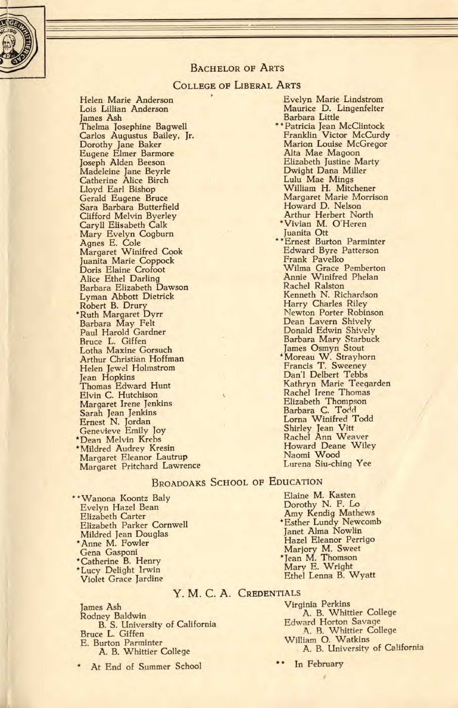

### BACHELOR OF ARTS

## COLLEGE OF LIBERAL ARTS

Helen Marie Anderson Lois Lillian Anderson James Ash Thelma Josephine Bagwell Carlos Augustus Bailey, Jr. Dorothy Jane Baker Eugene Elmer Barmore Joseph Alden Beeson Madeleine Jane Beyrle Catherine Alice Birch Lloyd Earl Bishop Gerald Eugene Bruce Sara Barbara Butterfield Clifford Melvin Byerley Caryll Elisabeth Calk Mary Evelyn Cogburn Agnes E. Cole Margaret Winifred Cook Juanita Marie Coppock Doris Elaine Crofoot Alice Ethel Darling Barbara Elizabeth Dawson Lyman Abbott Dietrick Robert B. Drury \*Ruth Margaret Dyrr Barbara May Felt Paul Harold Gardner Bruce L. Giffen Lotha Maxine Gorsuch Arthur Christian Hoffman Helen Jewel Holmstrom Jean Hopkins Thomas Edward Hunt Elvin C. Hutchison Margaret Irene Jenkins Sarah Jean Jenkins Ernest N. Jordan Genevieve Emily Joy \*Dean Melvin Krebs \*Mildred Audrey Kresin Margaret Eleanor Lautrup Margaret Pritchard Lawrence

Evelyn Marie Lindstrom Maurice D. Lingenfelter ' Patricia Jean McClintock Barbara Little Franklin Victor McCurdy Marion Louise McGregor Alta Mae Magoon Elizabeth Justine Marty Dwight Dana Miller Lulu Mae Mings William H. Mitchener Margaret Marie Morrison Howard D. Nelson Arthur Herbert North \*Vivian M. O'Heren Juanita Ott "Ernest Burton Parminter Edward Byre Patterson Frank Pavelko Wilma Grace Pemberton Annie Winifred Phelan Rachel Ralston Kenneth N. Richardson Harry Charles Riley Newton Porter Robinson Dean Lavern Shively Donald Edwin Shively Barbara Mary Starbuck James Osmyn Stout Moreau W. Strayhorn Francis T. Sweeney Dan'l Delbert Tebbs Kathryn Marie Teegarden Rachel Irene Thomas Elizabeth Thompson<br>Barbara C. Todd Lorna Winifred Todd Shirley Jean Vitt<br>Rachel Ann Weaver Howard Deane Wiley Naomi Wood Lurena Siu-ching Yee

### BROADOAKS SCHOOL OF EDUCATION

\* Wanona Koontz Baly Evelyn Hazel Bean Elizabeth Carter Elizabeth Parker Cornwell Mildred Jean Douglas \*Anne M. Fowler Gena Gasponi \*Catherine B. Henry \*Lucy Delight Irwin Violet Grace Jardine

Elaine M. Kasten Dorothy N. F. Lo Amy Kendig Mathews \*Esther Lundy Newcomb Janet Alma Nowlin Hazel Eleanor Perrigo Marjory M. Sweet \*Jean M. Thomson Mary E. Wright Ethel Lenna B. Wyatt

## Y. M. C. A. CREDENTIALS

James Ash Rodney Baldwin B. S. University of California Bruce L. Giffen E. Burton Parminter A. B. Whittier College

At End of Summer School

Virginia Perkins A. B. Whittier College Edward Horton Savage A. B. Whittier College William 0. Watkins A. B. University of California

In February